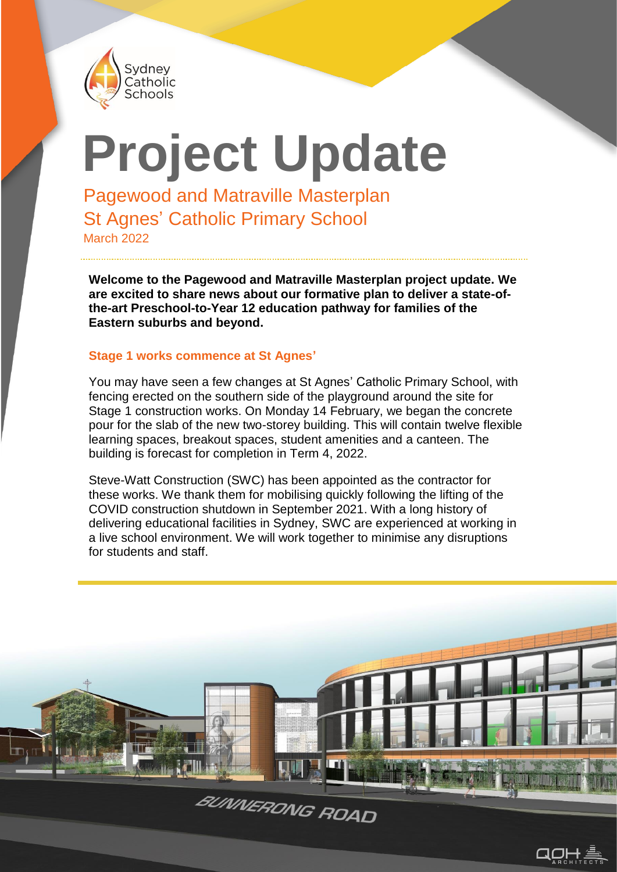

# **Project Update**

Pagewood and Matraville Masterplan St Agnes' Catholic Primary School March 2022

**Welcome to the Pagewood and Matraville Masterplan project update. We are excited to share news about our formative plan to deliver a state-ofthe-art Preschool-to-Year 12 education pathway for families of the Eastern suburbs and beyond.**

#### **Stage 1 works commence at St Agnes'**

You may have seen a few changes at St Agnes' Catholic Primary School, with fencing erected on the southern side of the playground around the site for Stage 1 construction works. On Monday 14 February, we began the concrete pour for the slab of the new two-storey building. This will contain twelve flexible learning spaces, breakout spaces, student amenities and a canteen. The building is forecast for completion in Term 4, 2022.

Steve-Watt Construction (SWC) has been appointed as the contractor for these works. We thank them for mobilising quickly following the lifting of the COVID construction shutdown in September 2021. With a long history of delivering educational facilities in Sydney, SWC are experienced at working in a live school environment. We will work together to minimise any disruptions for students and staff.